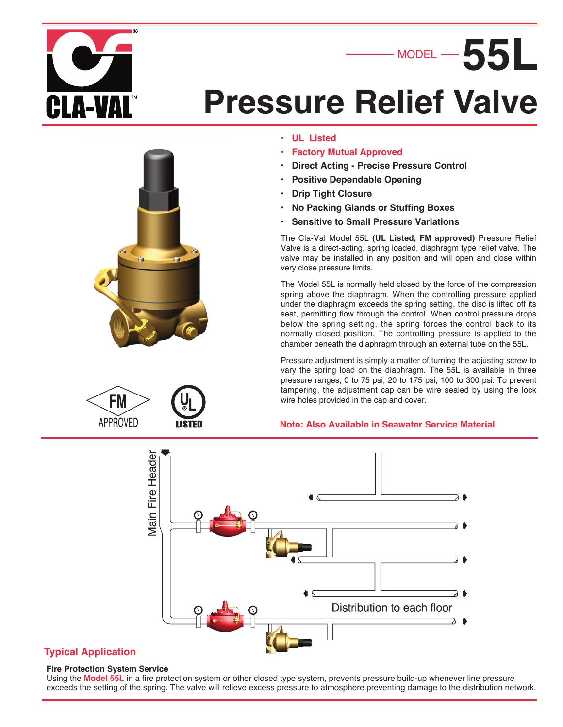

# **Pressure Relief Valve**



FM **APPROVED** 

- **UL Listed**
- **Factory Mutual Approved**
- **Direct Acting - Precise Pressure Control**
- **Positive Dependable Opening**
- **Drip Tight Closure**
- **No Packing Glands or Stuffing Boxes**
- **Sensitive to Small Pressure Variations**

The Cla-Val Model 55L **(UL Listed, FM approved)** Pressure Relief Valve is a direct-acting, spring loaded, diaphragm type relief valve. The valve may be installed in any position and will open and close within very close pressure limits.

MODEL

**55L**

The Model 55L is normally held closed by the force of the compression spring above the diaphragm. When the controlling pressure applied under the diaphragm exceeds the spring setting, the disc is lifted off its seat, permitting flow through the control. When control pressure drops below the spring setting, the spring forces the control back to its normally closed position. The controlling pressure is applied to the chamber beneath the diaphragm through an external tube on the 55L.

Pressure adjustment is simply a matter of turning the adjusting screw to vary the spring load on the diaphragm. The 55L is available in three pressure ranges; 0 to 75 psi, 20 to 175 psi, 100 to 300 psi. To prevent tampering, the adjustment cap can be wire sealed by using the lock wire holes provided in the cap and cover.

#### **Note: Also Available in Seawater Service Material**



#### **Typical Application**

#### **Fire Protection System Service**

Using the **Model 55L** in a fire protection system or other closed type system, prevents pressure build-up whenever line pressure exceeds the setting of the spring. The valve will relieve excess pressure to atmosphere preventing damage to the distribution network.